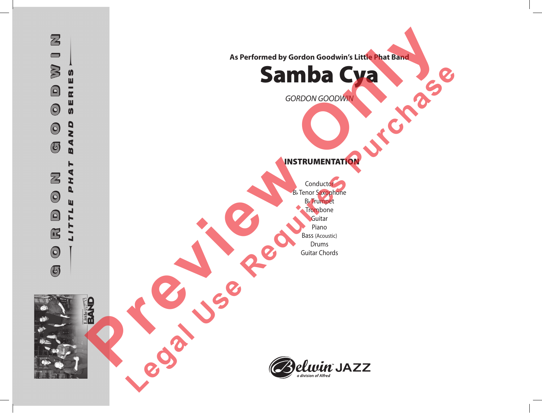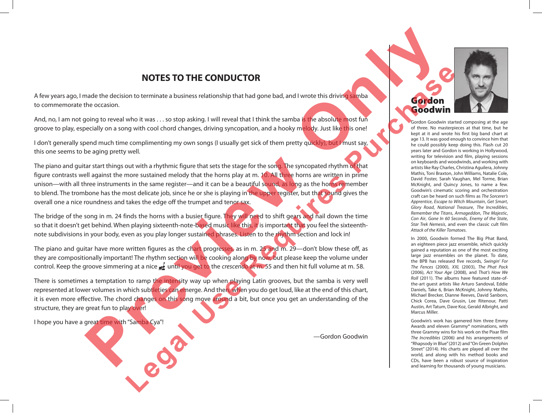## **NOTES TO THE CONDUCTOR**

A few years ago, I made the decision to terminate a business relationship that had gone bad, and I wrote this driving samba to commemorate the occasion.

And, no, I am not going to reveal who it was . . . so stop asking. I will reveal that I think the samba is the absolute most fun groove to play, especially on a song with cool chord changes, driving syncopation, and a hooky melody. Just like this one!

I don't generally spend much time complimenting my own songs (I usually get sick of them pretty quickly), but I must say, this one seems to be aging pretty well.

The piano and quitar start things out with a rhythmic figure that sets the stage for the song. The syncopated rhythm of that figure contrasts well against the more sustained melody that the horns play at m. 10. All three horns are written in prime unison—with all three instruments in the same register—and it can be a beautiful sound, as long as the horns remember to blend. The trombone has the most delicate job, since he or she is playing in the upper register, but that sound gives the overall one a nice roundness and takes the edge off the trumpet and tenor sax. NOTES TO THE CONDUCTOR<br>
the scenain<br>
photo to second which was a robust source of institution of inspiration and learning for instant and learning for inspiration of inspiration and learning the companies and the preview o **Legal Use Conservant Conservant Conservant Conservant Conservant Conservant Conservant Conservant Conservant Conservant Conservant Conservant Conservant Conservant Conservant Conservant Conservant Conservant Conservant Co** 

The bridge of the song in m. 24 finds the horns with a busier figure. They will need to shift gears and nail down the time so that it doesn't get behind. When playing sixteenth-note-based music like this, it is important that you feel the sixteenthnote subdivisions in your body, even as you play longer sustained phrases. Listen to the rhythm section and lock in!

The piano and guitar have more written figures as the chart progresses, as in m. 25 and m. 29—don't blow these off, as they are compositionally important! The rhythm section will be cooking along by now, but please keep the volume under control. Keep the groove simmering at a nice  $\frac{1}{2}$  until you get to the *crescendo* at m. 55 and then hit full volume at m. 58.

There is sometimes a temptation to ramp the intensity way up when playing Latin grooves, but the samba is very well represented at lower volumes in which subtleties can emerge. And then, when you do get loud, like at the end of this chart, it is even more effective. The chord changes on this song move around a bit, but once you get an understanding of the structure, they are great fun to play over!

I hope you have a great time with "Samba Cya"!

—Gordon Goodwin

## Gordon Goodwi

Gordon Goodwin started composing at the age of three. No masterpieces at that time, but he kept at it and wrote his first big band chart at age 13. It was good enough to convince him that he could possibly keep doing this. Flash cut 20 years later and Gordon is working in Hollywood, writing for television and film, playing sessions on keyboards and woodwinds, and working with artists like Ray Charles, Christina Aguilera, Johnny Mathis, Toni Braxton, John Williams, Natalie Cole, David Foster, Sarah Vaughan, Mel Torme, Brian McKnight, and Quincy Jones, to name a few. Goodwin's cinematic scoring and orchestration craft can be heard on such films as *The Sorcerer's Apprentice*, *Escape to Witch Mountain*, *Get Smart*, *Glory Road*, *National Treasure*, *The Incredibles*, *Remember the Titans*, *Armageddon*, *The Majestic*, *Con Air*, *Gone In 60 Seconds*, *Enemy of the State*, *Star Trek Nemesis*, and even the classic cult film *Attack of the Killer Tomatoes*.

In 2000, Goodwin formed The Big Phat Band, an eighteen piece jazz ensemble, which quickly gained a reputation as one of the most exciting large jazz ensembles on the planet. To date, the BPB has released five records, *Swingin' For The Fences* (2000), *XXL* (2003), *The Phat Pack* (2006), *Act Your Age* (2008), and *That's How We Roll* (2011). The albums have featured state-ofthe-art guest artists like Arturo Sandoval, Eddie Daniels, Take 6, Brian McKnight, Johnny Mathis, Michael Brecker, Dianne Reeves, David Sanborn, Chick Corea, Dave Grusin, Lee Ritenour, Patti Austin, Art Tatum, Dave Koz, Gerald Albright, and Marcus Miller.

Goodwin's work has garnered him three Emmy Awards and eleven Grammy® nominations, with three Grammy wins for his work on the Pixar film *The Incredibles* (2006) and his arrangements of "Rhapsody in Blue" (2012) and "On Green Dolphin Street" (2014). His charts are played all over the world, and along with his method books and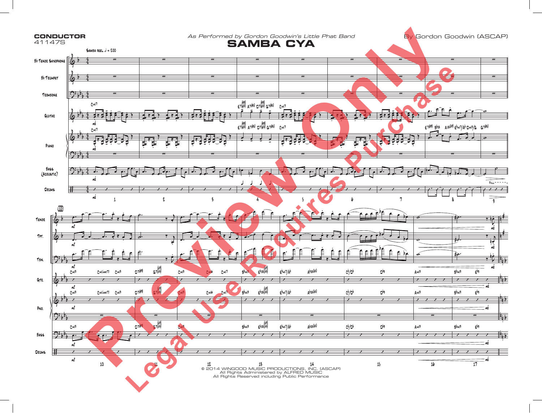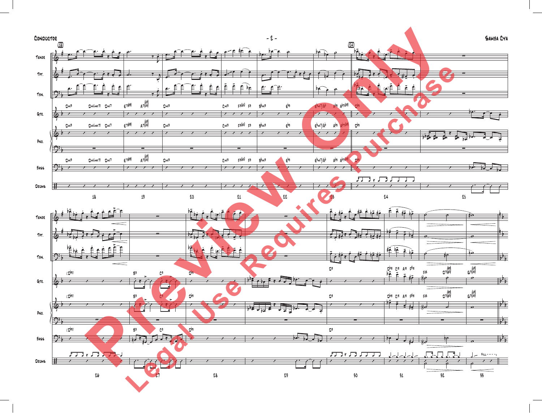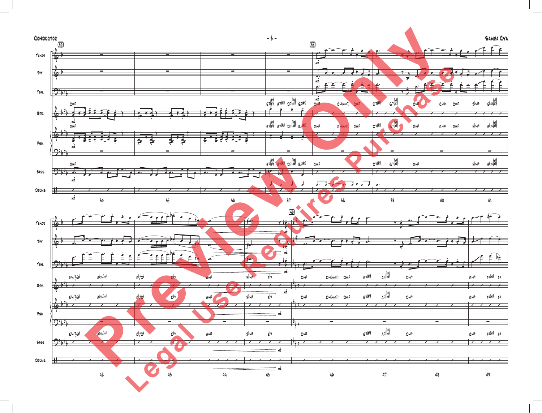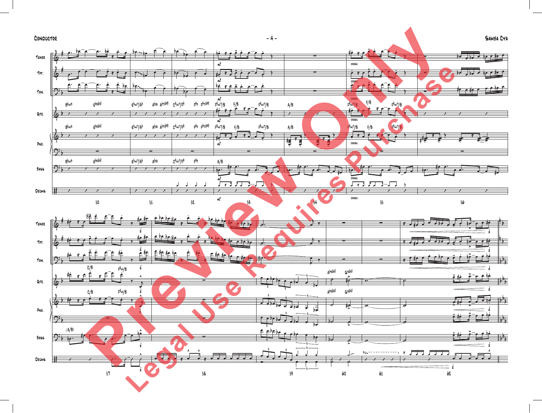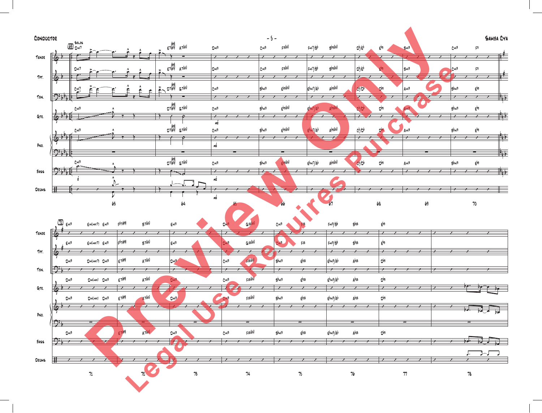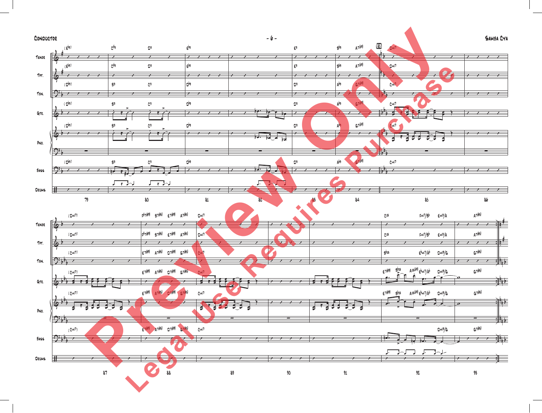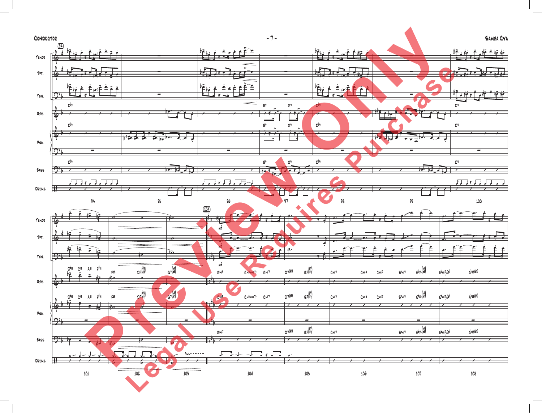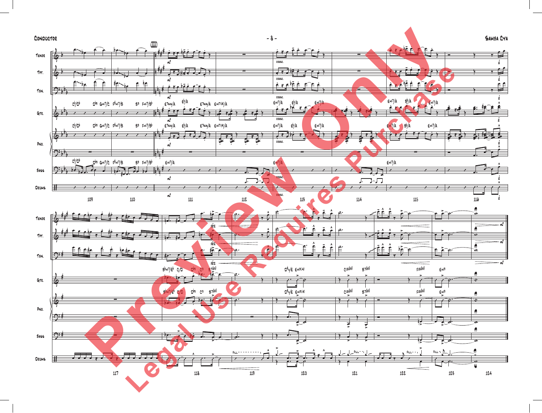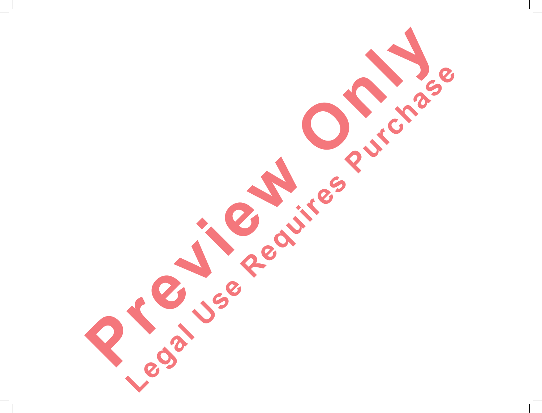